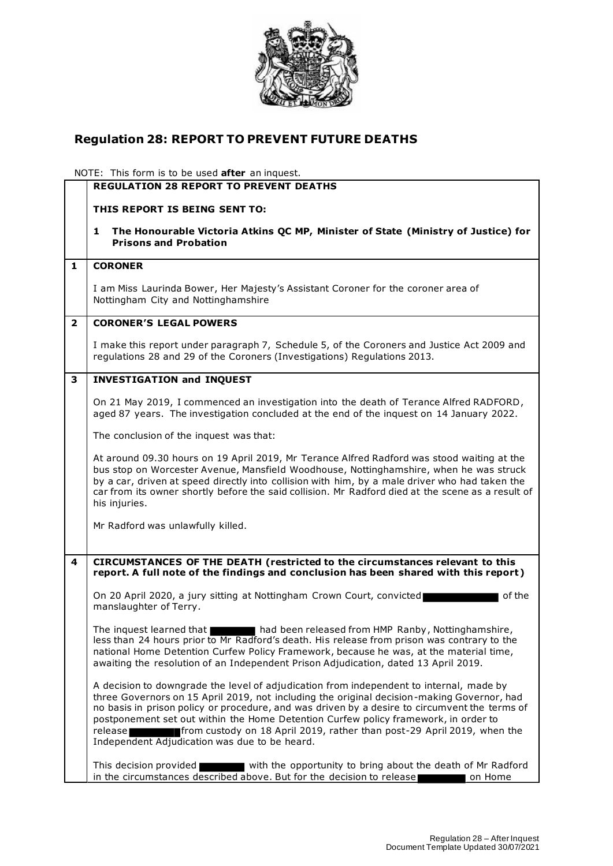

## **Regulation 28: REPORT TO PREVENT FUTURE DEATHS**

NOTE: This form is to be used **after** an inquest.

|                         | <b>REGULATION 28 REPORT TO PREVENT DEATHS</b>                                                                                                                                                                                                                                                                                                                                                                                                                                                                        |
|-------------------------|----------------------------------------------------------------------------------------------------------------------------------------------------------------------------------------------------------------------------------------------------------------------------------------------------------------------------------------------------------------------------------------------------------------------------------------------------------------------------------------------------------------------|
|                         |                                                                                                                                                                                                                                                                                                                                                                                                                                                                                                                      |
|                         | THIS REPORT IS BEING SENT TO:                                                                                                                                                                                                                                                                                                                                                                                                                                                                                        |
|                         | The Honourable Victoria Atkins QC MP, Minister of State (Ministry of Justice) for<br>1<br><b>Prisons and Probation</b>                                                                                                                                                                                                                                                                                                                                                                                               |
| 1                       | <b>CORONER</b>                                                                                                                                                                                                                                                                                                                                                                                                                                                                                                       |
|                         | I am Miss Laurinda Bower, Her Majesty's Assistant Coroner for the coroner area of<br>Nottingham City and Nottinghamshire                                                                                                                                                                                                                                                                                                                                                                                             |
| $\overline{\mathbf{2}}$ | <b>CORONER'S LEGAL POWERS</b>                                                                                                                                                                                                                                                                                                                                                                                                                                                                                        |
|                         | I make this report under paragraph 7, Schedule 5, of the Coroners and Justice Act 2009 and<br>regulations 28 and 29 of the Coroners (Investigations) Regulations 2013.                                                                                                                                                                                                                                                                                                                                               |
| 3                       | <b>INVESTIGATION and INQUEST</b>                                                                                                                                                                                                                                                                                                                                                                                                                                                                                     |
|                         | On 21 May 2019, I commenced an investigation into the death of Terance Alfred RADFORD,<br>aged 87 years. The investigation concluded at the end of the inguest on 14 January 2022.                                                                                                                                                                                                                                                                                                                                   |
|                         | The conclusion of the inquest was that:                                                                                                                                                                                                                                                                                                                                                                                                                                                                              |
|                         | At around 09.30 hours on 19 April 2019, Mr Terance Alfred Radford was stood waiting at the<br>bus stop on Worcester Avenue, Mansfield Woodhouse, Nottinghamshire, when he was struck<br>by a car, driven at speed directly into collision with him, by a male driver who had taken the<br>car from its owner shortly before the said collision. Mr Radford died at the scene as a result of<br>his injuries.                                                                                                         |
|                         | Mr Radford was unlawfully killed.                                                                                                                                                                                                                                                                                                                                                                                                                                                                                    |
| 4                       | CIRCUMSTANCES OF THE DEATH (restricted to the circumstances relevant to this<br>report. A full note of the findings and conclusion has been shared with this report)                                                                                                                                                                                                                                                                                                                                                 |
|                         | On 20 April 2020, a jury sitting at Nottingham Crown Court, convicted<br>of the<br>manslaughter of Terry.                                                                                                                                                                                                                                                                                                                                                                                                            |
|                         | had been released from HMP Ranby, Nottinghamshire,<br>The inquest learned that<br>less than 24 hours prior to Mr Radford's death. His release from prison was contrary to the<br>national Home Detention Curfew Policy Framework, because he was, at the material time,<br>awaiting the resolution of an Independent Prison Adjudication, dated 13 April 2019.                                                                                                                                                       |
|                         | A decision to downgrade the level of adjudication from independent to internal, made by<br>three Governors on 15 April 2019, not including the original decision-making Governor, had<br>no basis in prison policy or procedure, and was driven by a desire to circumvent the terms of<br>postponement set out within the Home Detention Curfew policy framework, in order to<br>from custody on 18 April 2019, rather than post-29 April 2019, when the<br>release<br>Independent Adjudication was due to be heard. |
|                         | with the opportunity to bring about the death of Mr Radford<br>This decision provided<br>in the circumstances described above. But for the decision to release                                                                                                                                                                                                                                                                                                                                                       |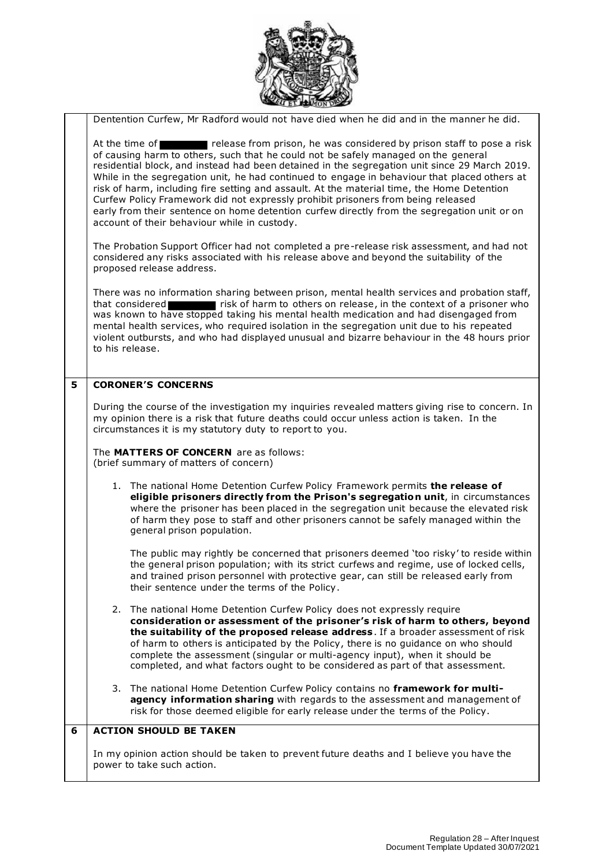

|   | <b>SELENCION DE</b>                                                                                                                                                                                                                                                                                                                                                                                                                                                                                                                                                                                                                                                                                             |
|---|-----------------------------------------------------------------------------------------------------------------------------------------------------------------------------------------------------------------------------------------------------------------------------------------------------------------------------------------------------------------------------------------------------------------------------------------------------------------------------------------------------------------------------------------------------------------------------------------------------------------------------------------------------------------------------------------------------------------|
|   | Dentention Curfew, Mr Radford would not have died when he did and in the manner he did.                                                                                                                                                                                                                                                                                                                                                                                                                                                                                                                                                                                                                         |
|   | release from prison, he was considered by prison staff to pose a risk<br>At the time of<br>of causing harm to others, such that he could not be safely managed on the general<br>residential block, and instead had been detained in the segregation unit since 29 March 2019.<br>While in the segregation unit, he had continued to engage in behaviour that placed others at<br>risk of harm, including fire setting and assault. At the material time, the Home Detention<br>Curfew Policy Framework did not expressly prohibit prisoners from being released<br>early from their sentence on home detention curfew directly from the segregation unit or on<br>account of their behaviour while in custody. |
|   | The Probation Support Officer had not completed a pre-release risk assessment, and had not<br>considered any risks associated with his release above and beyond the suitability of the<br>proposed release address.                                                                                                                                                                                                                                                                                                                                                                                                                                                                                             |
|   | There was no information sharing between prison, mental health services and probation staff,<br>that considered research is risk of harm to others on release, in the context of a prisoner who<br>was known to have stopped taking his mental health medication and had disengaged from<br>mental health services, who required isolation in the segregation unit due to his repeated<br>violent outbursts, and who had displayed unusual and bizarre behaviour in the 48 hours prior<br>to his release.                                                                                                                                                                                                       |
| 5 | <b>CORONER'S CONCERNS</b>                                                                                                                                                                                                                                                                                                                                                                                                                                                                                                                                                                                                                                                                                       |
|   | During the course of the investigation my inquiries revealed matters giving rise to concern. In<br>my opinion there is a risk that future deaths could occur unless action is taken. In the<br>circumstances it is my statutory duty to report to you.                                                                                                                                                                                                                                                                                                                                                                                                                                                          |
|   | The MATTERS OF CONCERN are as follows:<br>(brief summary of matters of concern)                                                                                                                                                                                                                                                                                                                                                                                                                                                                                                                                                                                                                                 |
|   | 1. The national Home Detention Curfew Policy Framework permits the release of<br>eligible prisoners directly from the Prison's segregation unit, in circumstances<br>where the prisoner has been placed in the segregation unit because the elevated risk<br>of harm they pose to staff and other prisoners cannot be safely managed within the<br>general prison population.                                                                                                                                                                                                                                                                                                                                   |
|   | The public may rightly be concerned that prisoners deemed 'too risky' to reside within<br>the general prison population; with its strict curfews and regime, use of locked cells,<br>and trained prison personnel with protective gear, can still be released early from<br>their sentence under the terms of the Policy.                                                                                                                                                                                                                                                                                                                                                                                       |
|   | 2. The national Home Detention Curfew Policy does not expressly require<br>consideration or assessment of the prisoner's risk of harm to others, beyond<br>the suitability of the proposed release address. If a broader assessment of risk<br>of harm to others is anticipated by the Policy, there is no guidance on who should<br>complete the assessment (singular or multi-agency input), when it should be<br>completed, and what factors ought to be considered as part of that assessment.                                                                                                                                                                                                              |
|   | 3. The national Home Detention Curfew Policy contains no framework for multi-<br>agency information sharing with regards to the assessment and management of<br>risk for those deemed eligible for early release under the terms of the Policy.                                                                                                                                                                                                                                                                                                                                                                                                                                                                 |
| 6 | <b>ACTION SHOULD BE TAKEN</b>                                                                                                                                                                                                                                                                                                                                                                                                                                                                                                                                                                                                                                                                                   |
|   | In my opinion action should be taken to prevent future deaths and I believe you have the<br>power to take such action.                                                                                                                                                                                                                                                                                                                                                                                                                                                                                                                                                                                          |